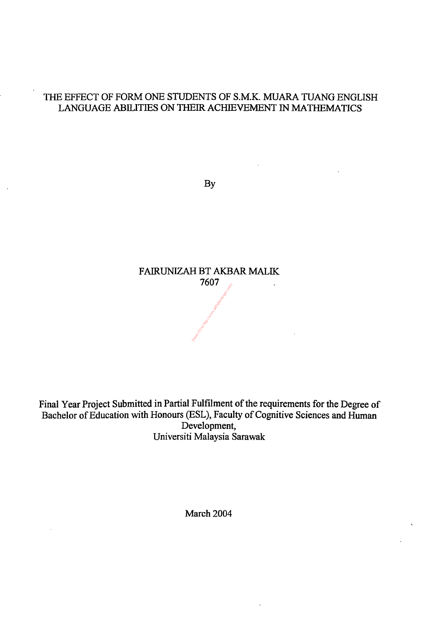#### THE EFFECT OF FORM ONE STUDENTS OF S.M.K. MUARA TUANG ENGLISH LANGUAGE ABILITIES ON THEIR ACHIEVEMENT IN MATHEMATICS

 $\bullet$ 

 $\mathcal{F}$ 

By

 $\bullet$ 

Final Year Project Submitted in Partial Fulfilment of the requirements for the Degree of Bachelor of Education with Honours (ESL), Faculty of Cognitive Sciences and Human Development, Universiti Malaysia Sarawak

 $\mathbf{I}$ 



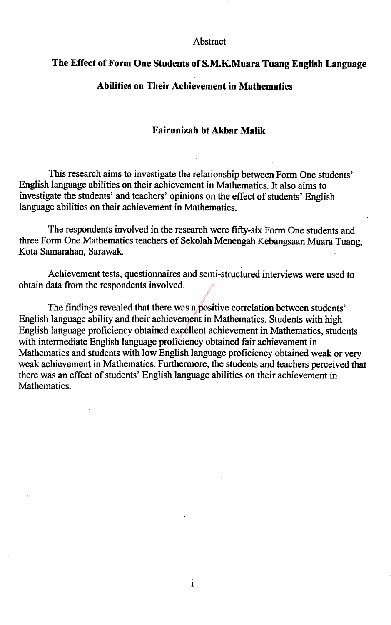#### Abstract

#### The Effect of Form One Students of S.M.K.Muara Tuang English Language

#### Abilities on Their Achievement in Mathematics

#### Fairunizah bt Akbar Malik

This research aims to investigate the relationship between Form One students' English language abilities on their achievement in Mathematics. It also aims to investigate the students' and teachers' opinions on the effect of students' English language abilities on their achievement in Mathematics.

The findings revealed that there was a positive correlation between students' English language ability and their achievement in Mathematics. Students with high English language proficiency obtained excellent achievement in Mathematics, students with intermediate English language proficiency obtained fair achievement in Mathematics and students with low English language proficiency obtained weak or very weak achievement in Mathematics. Furthermore, the students and teachers perceived that there was an effect of students' English language abilities on their achievement in Mathematics. Ed.<br>
Was a posit<br>
vement in l<br>
xcellent ac

The respondents involved in the research were fifty-six Form One students and three Form One Mathematics teachers of Sekolah Menengah Kebangsaan Muara Tuang, Kota Samarahan, Sarawak.

Achievement tests, questionnaires and semi-structured interviews were used to obtain data from the respondents involved.

i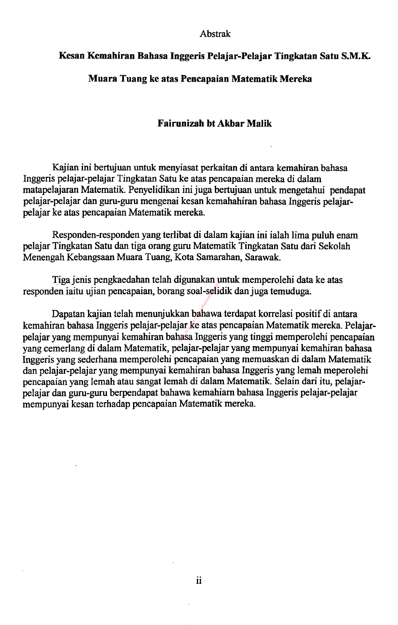#### Abstrak

#### Kesan Kemahiran Bahasa Inggeris Pelajar-Pelajar Tingkatan Satu S. M. K.

#### Muara Tuang ke atas Pencapaian Matematik Mereka

#### Fairunizah bt Akbar Malik

Kajian ini bertujuan untuk menyiasat perkaitan di antara kemahiran bahasa

Inggeris pelajar-pelajar Tingkatan Satu ke atas pencapaian mereka di dalam matapelajaran Matematik. Penyelidikan ini juga bertujuan untuk mengetahui pendapat pelajar-pelajar dan guru-guru mengenai kesan kemahahiran bahasa Inggeris pelajarpelajar ke atas pencapaian Matematik mereka.

Dapatan kajian telah menunjukkan bahawa terdapat korrelasi positif di antara kemahiran bahasa Inggeris pelajar-pelajar ke atas pencapaian Matematik mereka. Pelajarpelajar yang mempunyai kemahiran bahasa Inggeris yang tinggi memperolehi pencapaian yang cemerlang di dalam Matematik, pelajar-pelajar yang mempunyai kemahiran bahasa Inggeris yang sederhana memperolehi pencapaian yang memuaskan di dalam Matematik dan pelajar-pelajar yang mempunyai kemahiran bahasa Inggeris yang lemah meperolehi pencapaian yang lemah atau sangat lemah di dalam Matematik. Selain dari itu, pelajarpelajar dan guru-guru berpendapat bahawa kemahiam bahasa Inggeris pelajar-pelajar mempunyai kesan terhadap pencapaian Matematik mereka. Demonders (Visit 1983)<br>Demonders (Visit 1984)<br>Demonders and payments<br>of the space of the space of the space of the space of the space of the space of the space of the space of the<br>payment of the space of the space of the s

Responden-responden yang terlibat di dalam kajian ini ialah lima puluh enam pelajar Tingkatan Satu dan tiga orang guru Matematik Tingkatan Satu dari Sekolah Menengah Kebangsaan Muara Tuang, Kota Samarahan, Sarawak.

Tigajenis pengkaedahan telah digunakan untuk memperolehi data ke atas responden iaitu ujian pencapaian, borang soal-selidik danjuga temuduga.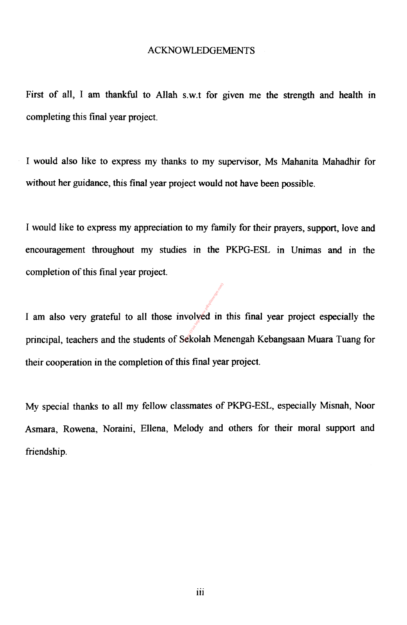#### ACKNOWLEDGEMENTS

First of all, I am thankful to Allah s.w.t for given me the strength and health in completing this final year project.

I would also like to express my thanks to my supervisor, Ms Mahanita Mahadhir for

without her guidance, this final year project would not have been possible.

I am also very grateful to all those involved in this final year project especially the volyed in ekolah Me

I would like to express my appreciation to my family for their prayers, support, love and encouragement throughout my studies in the PKPG-ESL in Unimas and in the completion of this final year project.

principal, teachers and the students of Sekolah Menengah Kebangsaan Muara Tuang for

their cooperation in the completion of this final year project.

My special thanks to all my fellow classmates of PKPG-ESL, especially Misnah, Noor

Asmara, Rowena, Noraini, Ellena, Melody and others for their moral support and friendship.

iii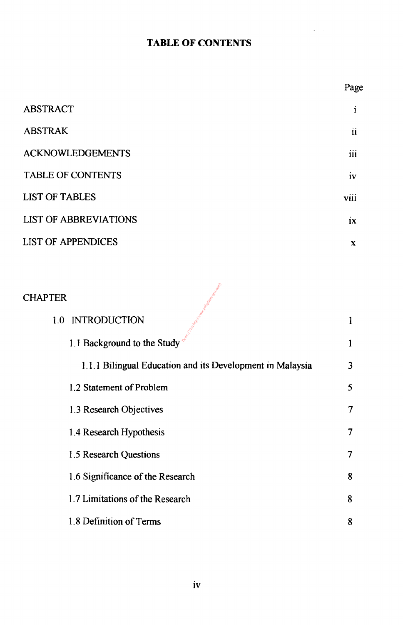#### TABLE OF CONTENTS



ABSTRAK

#### ACKNOWLEDGEMENTS

#### TABLE OF CONTENTS

viii

#### LIST OF TABLES

#### LIST OF ABBREVIATIONS

#### LIST OF APPENDICES

Page

i

 $\bullet$ 

ii

111

ix

X

1.1 Background to the Study  $\delta$  1

1.1.1 Bilingual Education and its Development in Malaysia 3 1.2 Statement of Problem 5 1.3 Research Objectives 7 1.4 Research Hypothesis 7 1.5 Research Questions 7 1.6 Significance of the Research 8 1.7 Limitations of the Research 8

#### 1.8 Definition of Terms 8



#### 1.0 INTRODUCTION

Demo (Visit Maria Harbor)

iv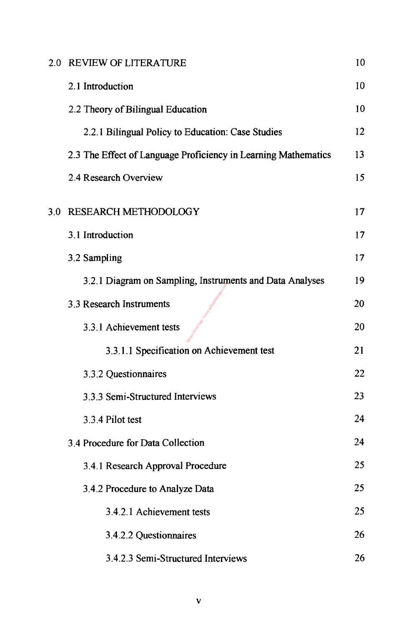## 2.0 REVIEW OF LITERATURE 10 2.1 Introduction 10 2.2 Theory of Bilingual Education 10 2.2.1 Bilingual Policy to Education: Case Studies 12 2.3 The Effect of Language Proficiency in Learning Mathematics 13

2.4 Research Overview 15

## 3.0 RESEARCH METHODOLOGY 17 3.1 Introduction 17 3.2 Sampling 17 3.2.1 Diagram on Sampling, Instruments and Data Analyses 19 3.3 Research Instruments 20 3.3.1 Achievement tests 20 3.3.1.1 Specification on Achievement test 21 Depo (Lisik Aktori) War

| 3.3.2 Questionnaires              | 22 |
|-----------------------------------|----|
| 3.3.3 Semi-Structured Interviews  | 23 |
| 3.3.4 Pilot test                  | 24 |
| 3.4 Procedure for Data Collection | 24 |
| 3.4.1 Research Approval Procedure | 25 |
| 3.4.2 Procedure to Analyze Data   | 25 |
| 3.4.2.1 Achievement tests         | 25 |
|                                   |    |



#### 3.4.2.3 Semi-Structured Interviews 26

V

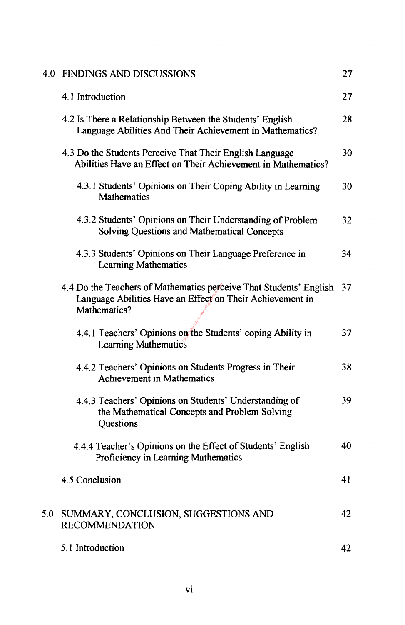#### 4.0 FINDINGS AND DISCUSSIONS 27

4.1 Introduction 27

4.2 Is There a Relationship Between the Students' English 28 Language Abilities And Their Achievement in Mathematics?

4.3 Do the Students Perceive That Their English Language 30 Abilities Have an Effect on Their Achievement in Mathematics?

4.3.1 Students' Opinions on Their Coping Ability in Learning 30 Mathematics

4.3.2 Students' Opinions on Their Understanding of Problem 32 Solving Questions and Mathematical Concepts

4.4.1 Teachers' Opinions on the Students' coping Ability in 37 Learning Mathematics

#### 4.4.2 Teachers' Opinions on Students Progress in Their 38 Achievement in Mathematics

4.3.3 Students' Opinions on Their Language Preference in 34 Learning Mathematics

4.4 Do the Teachers of Mathematics perceive That Students' English  $\frac{37}{2}$ Language Abilities Have an Effect on Their Achievement in Mathematics? natics perc<br>
n Effect on<br>
n the Stud

4.4.4 Teacher's Opinions on the Effect of Students' English 40 Proficiency in Learning Mathematics

4.5 Conclusion 41

5.0 SUMMARY, CONCLUSION, SUGGESTIONS AND 42

4.4.3 Teachers' Opinions on Students' Understanding of 39 the Mathematical Concepts and Problem Solving Questions

#### RECOMMENDATION

#### 5.1 Introduction 42



V1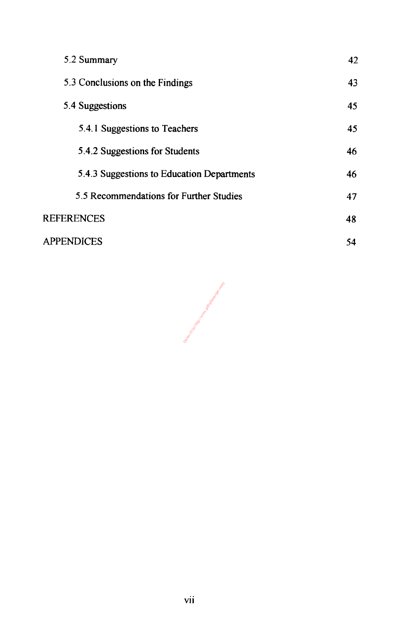#### 5.2 Summary 5.3 Conclusions on the Findings 5.4 Suggestions 5.4.1 Suggestions to Teachers 5.4.2 Suggestions for Students 42 43 45 45 46

5.4.3 Suggestions to Education Departments 46



#### APPENDICES

Demo (Visit Hatch) Hatch Hatch Hatch Hatch Hatch Hatch Hatch Hatch Com

54

vii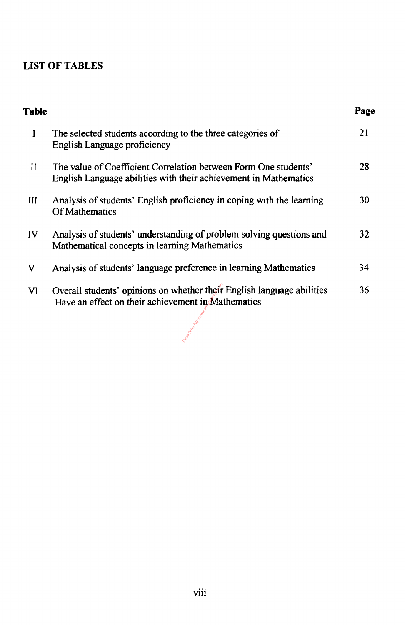#### LIST OF TABLES

#### Table Page

- I The selected students according to the three categories of 21 English Language proficiency
- II The value of Coefficient Correlation between Form One students' 28

- III Analysis of students' English proficiency in coping with the learning 30 Of Mathematics
- IV Analysis of students' understanding of problem solving questions and 32 Mathematical concepts in learning Mathematics
- V Analysis of students' language preference in learning Mathematics 34
- VI Overall students' opinions on whether their English language abilities 36<br>If the Contract in the insertion on the State mention. Have an effect on their achievement in Mathematics ether their<br>nent in Ma

English Language abilities with their achievement in Mathematics

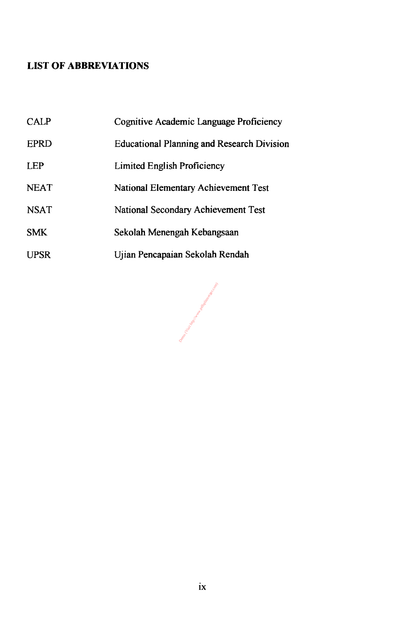#### LIST OF ABBREVIATIONS

#### CALP EPRD LEP Cognitive Academic Language Proficiency Educational Planning and Research Division Limited English Proficiency

| <b>NEAT</b> | <b>National Elementary Achievement Test</b> |
|-------------|---------------------------------------------|
| <b>NSAT</b> | <b>National Secondary Achievement Test</b>  |
| <b>SMK</b>  | Sekolah Menengah Kebangsaan                 |
| <b>UPSR</b> | Ujian Pencapaian Sekolah Rendah             |

Democratics (Visit Harton Harton)

ix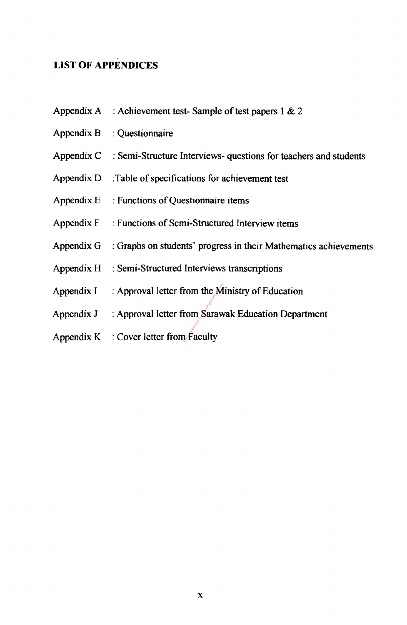#### LIST OF APPENDICES

Appendix A : Achievement test- Sample of test papers 1  $& 2$ 

 $Appendix B$  : Questionnaire

Appendix  $C$ : Semi-Structure Interviews- questions for teachers and students

Appendix D : Table of specifications for achievement test

Appendix  $E$ : Functions of Questionnaire items

Appendix F: Functions of Semi-Structured Interview items

Appendix  $G$ : Graphs on students' progress in their Mathematics achievements

 $Appendix H : Semi-Structured Interviews transformations$ 

Appendix  $I \cdot$ : Approval letter from the Ministry of Education Trom the M<br>
Demogram<br>
The Saraw

Appendix J : Approval letter from Sarawak Education Department

Appendix  $K$ : Cover letter from Faculty

X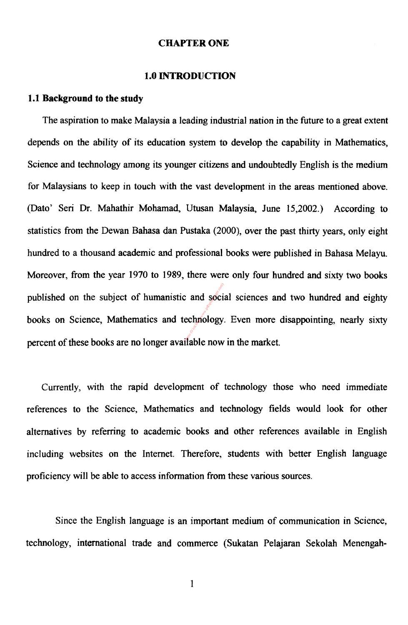#### CHAPTER ONE

#### 1.0 INTRODUCTION

#### 1.1 Background to the study

The aspiration to make Malaysia a leading industrial nation in the future to a great extent

depends on the ability of its education system to develop the capability in Mathematics,

Science and technology among its younger citizens and undoubtedly English is the medium

for Malaysians to keep in touch with the vast development in the areas mentioned above.

(Dato' Seri Dr. Mahathir Mohamad, Utusan Malaysia, June 15,2002.) According to

books on Science, Mathematics and technology. Even more disappointing, nearly sixty  $\therefore$  and society.

statistics from the Dewan Bahasa dan Pustaka (2000), over the past thirty years, only eight

hundred to a thousand academic and professional books were published in Bahasa Melayu.

Moreover, from the year 1970 to 1989, there were only four hundred and sixty two books

published on the subject of humanistic and social sciences and two hundred and eighty

percent of these books are no longer available now in the market.

Currently, with the rapid development of technology those who need immediate references to the Science, Mathematics and technology fields would look for other alternatives by referring to academic books and other references available in English including websites on the Internet. Therefore, students with better English language proficiency will be able to access information from these various sources.

#### Since the English language is an important medium of communication in Science,

technology, international trade and commerce (Sukatan Pelajaran Sekolah Menengah-

 $\frac{1}{2}$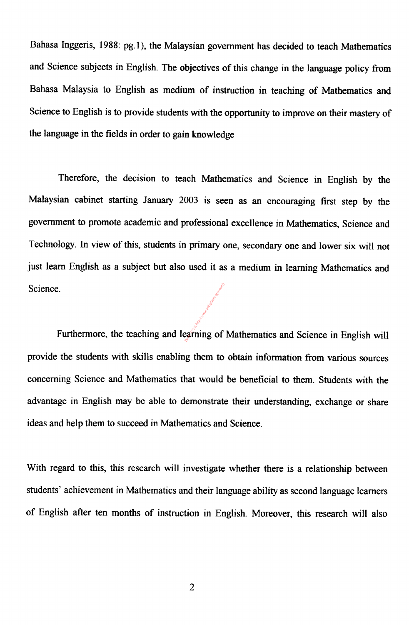Bahasa Inggeris, 1988: pg. 1), the Malaysian government has decided to teach Mathematics

and Science subjects in English. The objectives of this change in the language policy from

Bahasa Malaysia to English as medium of instruction in teaching of Mathematics and

Science to English is to provide students with the opportunity to improve on their mastery of

the language in the fields in order to gain knowledge

Therefore, the decision to teach Mathematics and Science in English by the

Malaysian cabinet starting January 2003 is seen as an encouraging first step by the

government to promote academic and professional excellence in Mathematics, Science and

Technology. In view of this, students in primary one, secondary one and lower six will not

just learn English as a subject but also used it as a medium in learning Mathematics and

Science.

e.<br>Furthermore, the teaching and learning of Mathematics and Science in English will

provide the students with skills enabling them to obtain information from various sources

concerning Science and Mathematics that would be beneficial to them. Students with the

advantage in English may be able to demonstrate their understanding, exchange or share

ideas and help them to succeed in Mathematics and Science.

With regard to this, this research will investigate whether there is a relationship between

students' achievement in Mathematics and their language ability as second language learners

of English after ten months of instruction in English. Moreover, this research will also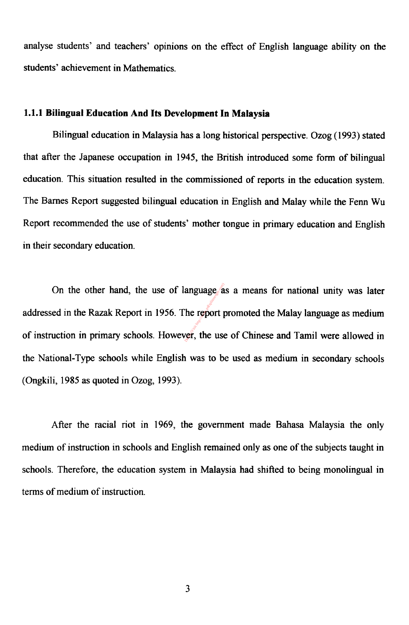analyse students' and teachers' opinions on the effect of English language ability on the

students' achievement in Mathematics.

#### 1.1.1 Bilingual Education And Its Development In Malaysia

Bilingual education in Malaysia has a long historical perspective. Ozog (1993) stated

that after the Japanese occupation in 1945, the British introduced some form of bilingual

education. This situation resulted in the commissioned of reports in the education system.

The Barnes Report suggested bilingual education in English and Malay while the Fenn Wu

Report recommended the use of students' mother tongue in primary education and English in their secondary education.

On the other hand, the use of language as a means for national unity was later anguage  $a$ <br>
The report  $\mu$ <br>  $\sigma$ , the use

addressed in the Razak Report in 1956. The report promoted the Malay language as medium

of instruction in primary schools. However, the use of Chinese and Tamil were allowed in

the National-Type schools while English was to be used as medium in secondary schools

(Ongkili, 1985 as quoted in Ozog, 1993).

After the racial riot in 1969, the government made Bahasa Malaysia the only

medium of instruction in schools and English remained only as one of the subjects taught in

schools. Therefore, the education system in Malaysia had shifted to being monolingual in

terms of medium of instruction.

 $\mathfrak{p}$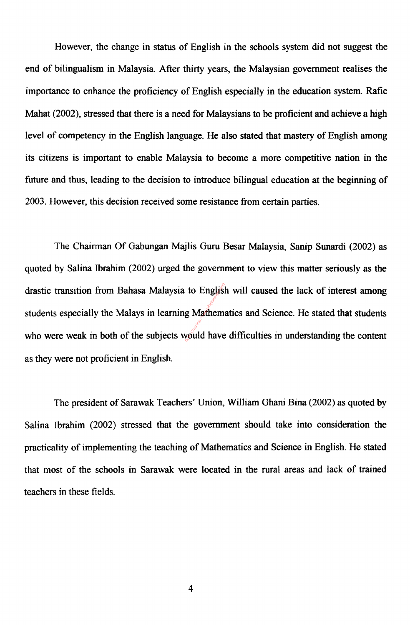However, the change in status of English in the schools system did not suggest the

end of bilingualism in Malaysia. After thirty years, the Malaysian government realises the

importance to enhance the proficiency of English especially in the education system. Rafie

Mahat (2002), stressed that there is a need for Malaysians to be proficient and achieve a high

level of competency in the English language. He also stated that mastery of English among

drastic transition from Bahasa Malaysia to English will caused the lack of interest among to Englisi<br>g Mathem:<br>yould have

its citizens is important to enable Malaysia to become a more competitive nation in the

future and thus, leading to the decision to introduce bilingual education at the beginning of

2003. However, this decision received some resistance from certain parties.

The Chairman Of Gabungan Majlis Guru Besar Malaysia, Sanip Sunardi (2002) as

quoted by Salina Ibrahim (2002) urged the government to view this matter seriously as the

students especially the Malays in learning Mathematics and Science. He stated that students

who were weak in both of the subjects would have difficulties in understanding the content

as they were not proficient in English.

The president of Sarawak Teachers' Union, William Ghani Bina (2002) as quoted by

Salina Ibrahim (2002) stressed that the government should take into consideration the

practicality of implementing the teaching of Mathematics and Science in English. He stated

that most of the schools in Sarawak were located in the rural areas and lack of trained

teachers in these fields.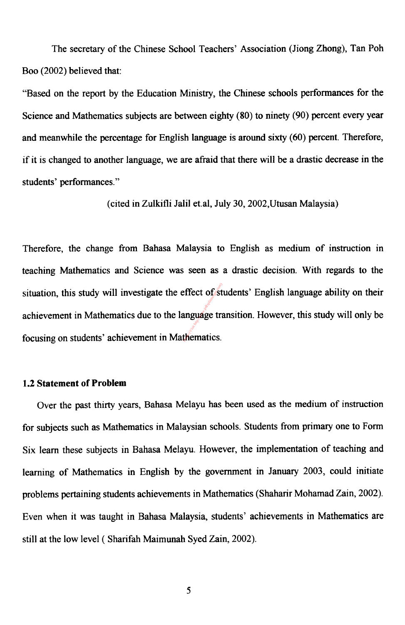The secretary of the Chinese School Teachers' Association (Jiong Zhong), Tan Poh

Boo (2002) believed that:

"Based on the report by the Education Ministry, the Chinese schools performances for the

Science and Mathematics subjects are between eighty (80) to ninety (90) percent every year

Therefore, the change from Bahasa Malaysia to English as medium of instruction in teaching Mathematics and Science was seen as a drastic decision. With regards to the situation, this study will investigate the effect of students' English language ability on their achievement in Mathematics due to the language transition. However, this study will only be effect of st<br>anguage transference<br>thematics.

and meanwhile the percentage for English language is around sixty (60) percent. Therefore,

if it is changed to another language, we are afraid that there will be a drastic decrease in the

students' performances."

(cited in Zulkifli Jalil et. al, July 30,2002, Utusan Malaysia)

focusing on students' achievement in Mathematics.

#### 1.2 Statement of Problem

Over the past thirty years, Bahasa Melayu has been used as the medium of instruction

for subjects such as Mathematics in Malaysian schools. Students from primary one to Form

Six learn these subjects in Bahasa Melayu. However, the implementation of teaching and

learning of Mathematics in English by the government in January 2003, could initiate

problems pertaining students achievements in Mathematics (Shaharir Mohamad Zain, 2002).

#### Even when it was taught in Bahasa Malaysia, students' achievements in Mathematics are

still at the low level ( Shanfah Maimunah Syed Zain, 2002).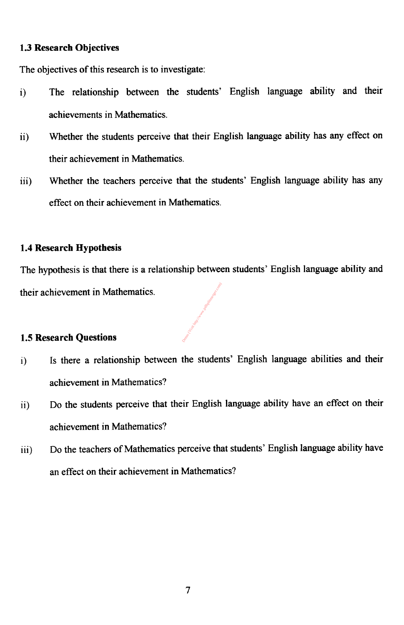#### 1.3 Research Objectives

The objectives of this research is to investigate:

- i) The relationship between the students' English language ability and their achievements in Mathematics.
- ii) Whether the students perceive that their English language ability has any effect on

their achievement in Mathematics.

iii) Whether the teachers perceive that the students' English language ability has any

effect on their achievement in Mathematics.

#### 1.4 Research Hypothesis

The hypothesis is that there is a relationship between students' English language ability and

Demon (Listinger.com) www.pdfsplitter.com

their achievement in Mathematics.

#### 1.5 Research Questions

- i) Is there a relationship between the students' English language abilities and their achievement in Mathematics?
- ii) Do the students perceive that their English language ability have an effect on their achievement in Mathematics?
- iii) Do the teachers of Mathematics perceive that students' English language ability have an effect on their achievement in Mathematics?

 $\mathcal{L}_{\mathcal{L}}$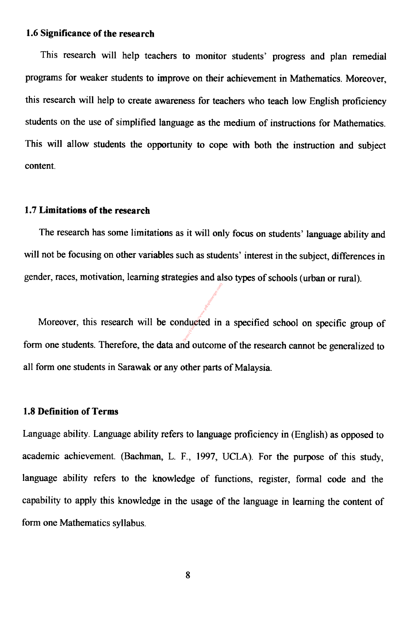#### 1.6 Significance of the research

This research will help teachers to monitor students' progress and plan remedial programs for weaker students to improve on their achievement in Mathematics. Moreover, this research will help to create awareness for teachers who teach low English proficiency students on the use of simplified language as the medium of instructions for Mathematics. This will allow students the opportunity to cope with both the instruction and subject

#### content.

#### 1.7 Limitations of the research

The research has some limitations as it will only focus on students' language ability and

will not be focusing on other variables such as students' interest in the subject, differences in

gender, races, motivation, learning strategies and also types of schools (urban or rural).

Moreover, this research will be conducted in a specified school on specific group of Demonducted in

form one students. Therefore, the data and outcome of the research cannot be generalized to

all form one students in Sarawak or any other parts of Malaysia.

#### 1.8 Definition of Terms

Language ability. Language ability refers to language proficiency in (English) as opposed to academic achievement. (Bachman, L. F., 1997, UCLA). For the purpose of this study,

language ability refers to the knowledge of functions, register, formal code and the

capability to apply this knowledge in the usage of the language in learning the content of

#### form one Mathematics syllabus.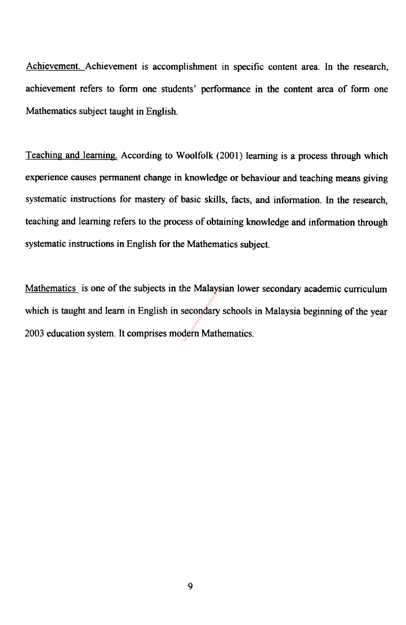Achievement. Achievement is accomplishment in specific content area. In the research, achievement refers to form one students' performance in the content area of form one Mathematics subject taught in English.

Teaching and learning. According to Woolfolk (2001) learning is a process through which

Mathematics is one of the subjects in the Malaysian lower secondary academic curriculum which is taught and learn in English in secondary schools in Malaysia beginning of the year Mathematics is one of the subjects in the Malaysian lower<br>which is taught and learn in English in secondary schools in<br>2003 education system. It comprises modern Mathematics.

experience causes permanent change in knowledge or behaviour and teaching means giving

systematic instructions for mastery of basic skills, facts, and information. In the research,

teaching and learning refers to the process of obtaining knowledge and information through

systematic instructions in English for the Mathematics subject.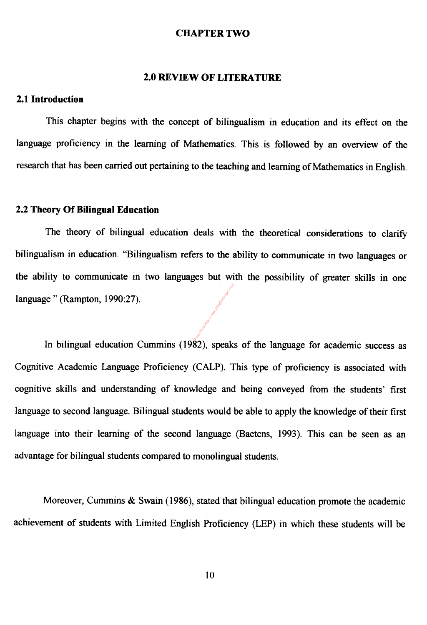#### CHAPTER TWO

#### 2.0 REVIEW OF LITERATURE

#### 2.1 Introduction

This chapter begins with the concept of bilingualism in education and its effect on the

language proficiency in the learning of Mathematics. This is followed by an overview of the

research that has been carried out pertaining to the teaching and learning of Mathematics in English.

In bilingual education Cummins (1982), speaks of the language for academic success as **Democratists and the Maritimer Residences** 

#### 2.2 Theory Of Bilingual Education

The theory of bilingual education deals with the theoretical considerations to clarify

bilingualism in education. "Bilingualism refers to the ability to communicate in two languages or

the ability to communicate in two languages but with the possibility of greater skills in one

language " (Rampton, 1990:27).

Cognitive Academic Language Proficiency (CALP). This type of proficiency is associated with

cognitive skills and understanding of knowledge and being conveyed from the students' first

language to second language. Bilingual students would be able to apply the knowledge of their first

language into their learning of the second language (Baetens, 1993). This can be seen as an

advantage for bilingual students compared to monolingual students.

Moreover, Cummins & Swain (1986), stated that bilingual education promote the academic

### achievement of students with Limited English Proficiency (LEP) in which these students will be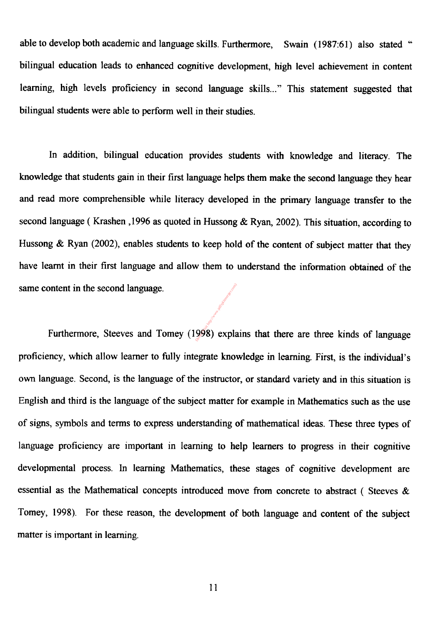able to develop both academic and language skills. Furthermore, Swain (1987:61) also stated "

bilingual education leads to enhanced cognitive development, high level achievement in content

learning, high levels proficiency in second language skills..." This statement suggested that

bilingual students were able to perform well in their studies.

In addition, bilingual education provides students with knowledge and literacy. The

knowledge that students gain in their first language helps them make the second language they hear

and read more comprehensible while literacy developed in the primary language transfer to the

second language (Krashen, , 1996 as quoted in Hussong  $\&$  Kyan, 2002). This situation, according to

Hussong & Ryan (2002), enables students to keep hold of the content of subject matter that they

have learnt in their first language and allow them to understand the information obtained of the

same content in the second language.

ontent in the second language.<br>Furthermore, Steeves and Tomey (1998) explains that there are three kinds of language

proficiency, which allow learner to fully integrate knowledge in learning. First, is the individual's

own language. Second, is the language of the instructor, or standard variety and in this situation is

English and third is the language of the subject matter for example in Mathematics such as the use

of signs, symbols and terms to express understanding of mathematical ideas. These three types of

language proficiency are important in learning to help learners to progress in their cognitive

developmental process. In learning Mathematics, these stages of cognitive development are

essential as the Mathematical concepts introduced move from concrete to abstract ( Steeves &

Tomey, 1998). For these reason, the development of both language and content of the subject

matter is important in learning.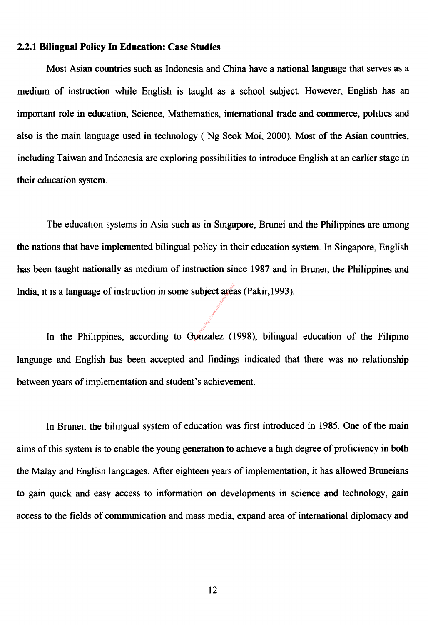#### 2.2.1 Bilingual Policy In Education: Case Studies

Most Asian countries such as Indonesia and China have a national language that serves as a

medium of instruction while English is taught as a school subject. However, English has an

important role in education, Science, Mathematics, international trade and commerce, politics and

also is the main language used in technology ( Ng Seok Moi, 2000). Most of the Asian countries,

India, it is a language of instruction in some subject areas (Pakir, 1993). Bubject area<br>
gnzalez. (1

including Taiwan and Indonesia are exploring possibilities to introduce English at an earlier stage in

The education systems in Asia such as in Singapore, Brunei and the Philippines are among

the nations that have implemented bilingual policy in their education system. In Singapore, English

has been taught nationally as medium of instruction since 1987 and in Brunei, the Philippines and

In the Philippines, according to Gonzalez (1998), bilingual education of the Filipino

language and English has been accepted and findings indicated that there was no relationship

between years of implementation and student's achievement.

In Brunei, the bilingual system of education was first introduced in 1985. One of the main

aims of this system is to enable the young generation to achieve a high degree of proficiency in both

the Malay and English languages. After eighteen years of implementation, it has allowed Bruneians

to gain quick and easy access to information on developments in science and technology, gain

access to the fields of communication and mass media, expand area of international diplomacy and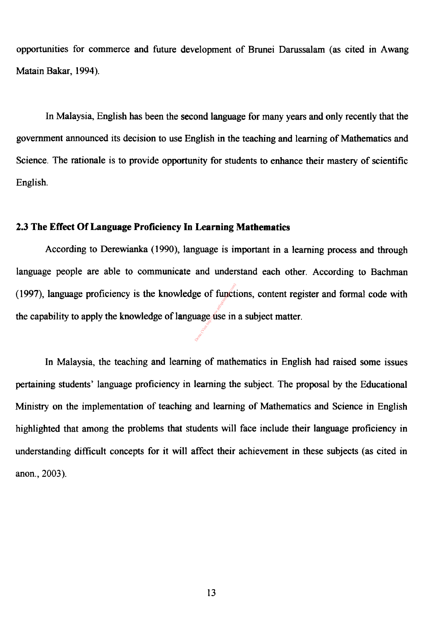opportunities for commerce and future development of Brunei Darussalam (as cited in Awang Matain Bakar, 1994).

In Malaysia, English has been the second language for many years and only recently that the

government announced its decision to use English in the teaching and learning of Mathematics and

(1997), language proficiency is the knowledge of functions, content register and formal code with ge of functions<br>
uage dise in

the capability to apply the knowledge of language use in a subject matter.

Science. The rationale is to provide opportunity for students to enhance their mastery of scientific



#### 2.3 The Effect Of Language Proficiency In Learning Mathematics

According to Derewianka (1990), language is important in a learning process and through

language people are able to communicate and understand each other. According to Bachman

In Malaysia, the teaching and learning of mathematics in English had raised some issues

pertaining students' language proficiency in learning the subject. The proposal by the Educational

Ministry on the implementation of teaching and learning of Mathematics and Science in English

highlighted that among the problems that students will face include their language proficiency in

understanding difficult concepts for it will affect their achievement in these subjects (as cited in

anon., 2003).

#### $13<sub>1</sub>$